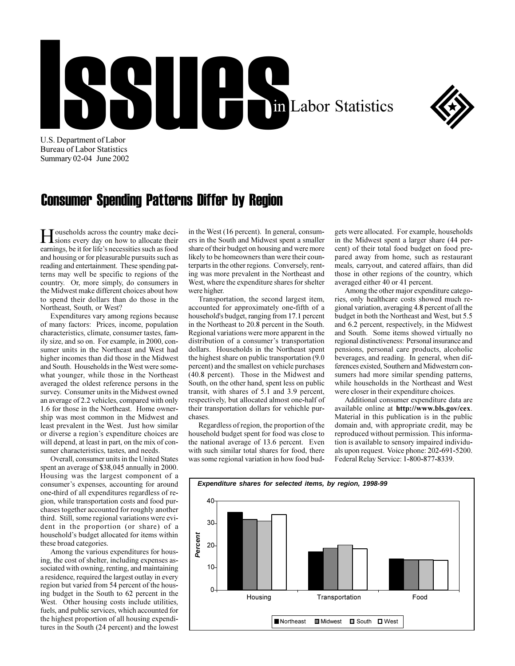Labor Statistics



U.S. Department of Labor **Bureau of Labor Statistics** Summary 02-04 June 2002

## **Consumer Spending Patterns Differ by Region**

[ouseholds across the country make deciisons every day on how to allocate their earnings, be it for life's necessities such as food and housing or for pleasurable pursuits such as reading and entertainment. These spending patterns may well be specific to regions of the country. Or, more simply, do consumers in the Midwest make different choices about how to spend their dollars than do those in the Northeast, South, or West?

Expenditures vary among regions because of many factors: Prices, income, population characteristics, climate, consumer tastes, family size, and so on. For example, in 2000, consumer units in the Northeast and West had higher incomes than did those in the Midwest and South. Households in the West were somewhat younger, while those in the Northeast averaged the oldest reference persons in the survey. Consumer units in the Midwest owned an average of 2.2 vehicles, compared with only 1.6 for those in the Northeast. Home ownership was most common in the Midwest and least prevalent in the West. Just how similar or diverse a region's expenditure choices are will depend, at least in part, on the mix of consumer characteristics, tastes, and needs.

Overall, consumer units in the United States spent an average of \$38,045 annually in 2000. Housing was the largest component of a consumer's expenses, accounting for around one-third of all expenditures regardless of region, while transportation costs and food purchases together accounted for roughly another third. Still, some regional variations were evident in the proportion (or share) of a household's budget allocated for items within these broad categories.

Among the various expenditures for housing, the cost of shelter, including expenses associated with owning, renting, and maintaining a residence, required the largest outlay in every region but varied from 54 percent of the housing budget in the South to 62 percent in the West. Other housing costs include utilities, fuels, and public services, which accounted for the highest proportion of all housing expenditures in the South (24 percent) and the lowest in the West (16 percent). In general, consumers in the South and Midwest spent a smaller share of their budget on housing and were more likely to be homeowners than were their counterparts in the other regions. Conversely, renting was more prevalent in the Northeast and West, where the expenditure shares for shelter were higher.

Transportation, the second largest item, accounted for approximately one-fifth of a household's budget, ranging from 17.1 percent in the Northeast to 20.8 percent in the South. Regional variations were more apparent in the distribution of a consumer's transportation dollars. Households in the Northeast spent the highest share on public transportation (9.0) percent) and the smallest on vehicle purchases (40.8 percent). Those in the Midwest and South, on the other hand, spent less on public transit, with shares of 5.1 and 3.9 percent, respectively, but allocated almost one-half of their transportation dollars for vehichle purchases.

Regardless of region, the proportion of the household budget spent for food was close to the national average of 13.6 percent. Even with such similar total shares for food, there was some regional variation in how food budgets were allocated. For example, households in the Midwest spent a larger share (44 percent) of their total food budget on food prepared away from home, such as restaurant meals, carryout, and catered affairs, than did those in other regions of the country, which averaged either  $4\overline{0}$  or 41 percent.

Among the other major expenditure categories, only healthcare costs showed much regional variation, averaging 4.8 percent of all the budget in both the Northeast and West, but 5.5 and 6.2 percent, respectively, in the Midwest and South. Some items showed virtually no regional distinctiveness: Personal insurance and pensions, personal care products, alcoholic beverages, and reading. In general, when differences existed, Southern and Midwestern consumers had more similar spending patterns, while households in the Northeast and West were closer in their expenditure choices.

Additional consumer expenditure data are available online at http://www.bls.gov/cex. Material in this publication is in the public domain and, with appropriate credit, may be reproduced without permission. This information is available to sensory impaired individuals upon request. Voice phone: 202-691-5200. Federal Relay Service: 1-800-877-8339.